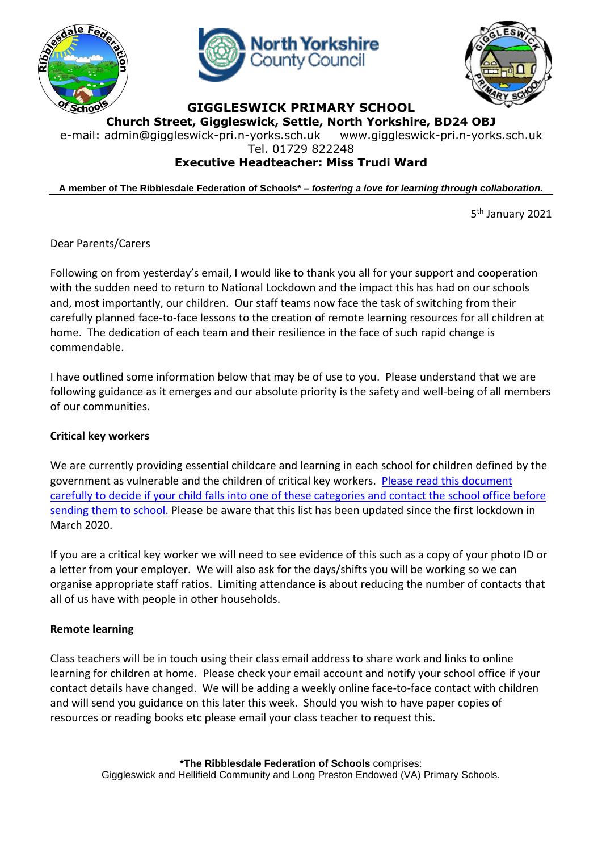





**GIGGLESWICK PRIMARY SCHOOL**

**Church Street, Giggleswick, Settle, North Yorkshire, BD24 OBJ**

e-mail: [admin@giggleswick-pri.n-yorks.sch.uk](mailto:admin@giggleswick-pri.n-yorks.sch.uk) www.giggleswick-pri.n-yorks.sch.uk

Tel. 01729 822248

# **Executive Headteacher: Miss Trudi Ward**

**A member of The Ribblesdale Federation of Schools\* –** *fostering a love for learning through collaboration.*

5<sup>th</sup> January 2021

Dear Parents/Carers

Following on from yesterday's email, I would like to thank you all for your support and cooperation with the sudden need to return to National Lockdown and the impact this has had on our schools and, most importantly, our children. Our staff teams now face the task of switching from their carefully planned face-to-face lessons to the creation of remote learning resources for all children at home. The dedication of each team and their resilience in the face of such rapid change is commendable.

I have outlined some information below that may be of use to you. Please understand that we are following guidance as it emerges and our absolute priority is the safety and well-being of all members of our communities.

# **Critical key workers**

We are currently providing essential childcare and learning in each school for children defined by the government as vulnerable and the children of critical key workers. Please read this [document](https://www.gov.uk/government/publications/coronavirus-covid-19-maintaining-educational-provision/guidance-for-schools-colleges-and-local-authorities-on-maintaining-educational-provision) carefully to decide if your child falls into one of these [categories](https://www.gov.uk/government/publications/coronavirus-covid-19-maintaining-educational-provision/guidance-for-schools-colleges-and-local-authorities-on-maintaining-educational-provision) and contact the school office before [sending](https://www.gov.uk/government/publications/coronavirus-covid-19-maintaining-educational-provision/guidance-for-schools-colleges-and-local-authorities-on-maintaining-educational-provision) them to school. Please be aware that this list has been updated since the first lockdown in March 2020.

If you are a critical key worker we will need to see evidence of this such as a copy of your photo ID or a letter from your employer. We will also ask for the days/shifts you will be working so we can organise appropriate staff ratios. Limiting attendance is about reducing the number of contacts that all of us have with people in other households.

# **Remote learning**

Class teachers will be in touch using their class email address to share work and links to online learning for children at home. Please check your email account and notify your school office if your contact details have changed. We will be adding a weekly online face-to-face contact with children and will send you guidance on this later this week. Should you wish to have paper copies of resources or reading books etc please email your class teacher to request this.

> **\*The Ribblesdale Federation of Schools** comprises: Giggleswick and Hellifield Community and Long Preston Endowed (VA) Primary Schools.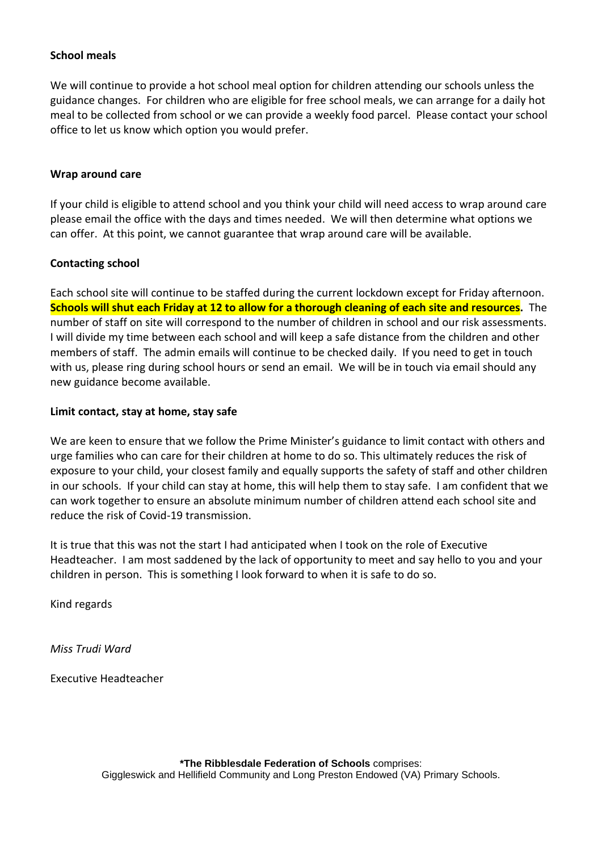### **School meals**

We will continue to provide a hot school meal option for children attending our schools unless the guidance changes. For children who are eligible for free school meals, we can arrange for a daily hot meal to be collected from school or we can provide a weekly food parcel. Please contact your school office to let us know which option you would prefer.

### **Wrap around care**

If your child is eligible to attend school and you think your child will need access to wrap around care please email the office with the days and times needed. We will then determine what options we can offer. At this point, we cannot guarantee that wrap around care will be available.

### **Contacting school**

Each school site will continue to be staffed during the current lockdown except for Friday afternoon. Schools will shut each Friday at 12 to allow for a thorough cleaning of each site and resources. The number of staff on site will correspond to the number of children in school and our risk assessments. I will divide my time between each school and will keep a safe distance from the children and other members of staff. The admin emails will continue to be checked daily. If you need to get in touch with us, please ring during school hours or send an email. We will be in touch via email should any new guidance become available.

### **Limit contact, stay at home, stay safe**

We are keen to ensure that we follow the Prime Minister's guidance to limit contact with others and urge families who can care for their children at home to do so. This ultimately reduces the risk of exposure to your child, your closest family and equally supports the safety of staff and other children in our schools. If your child can stay at home, this will help them to stay safe. I am confident that we can work together to ensure an absolute minimum number of children attend each school site and reduce the risk of Covid-19 transmission.

It is true that this was not the start I had anticipated when I took on the role of Executive Headteacher. I am most saddened by the lack of opportunity to meet and say hello to you and your children in person. This is something I look forward to when it is safe to do so.

Kind regards

*Miss Trudi Ward*

Executive Headteacher